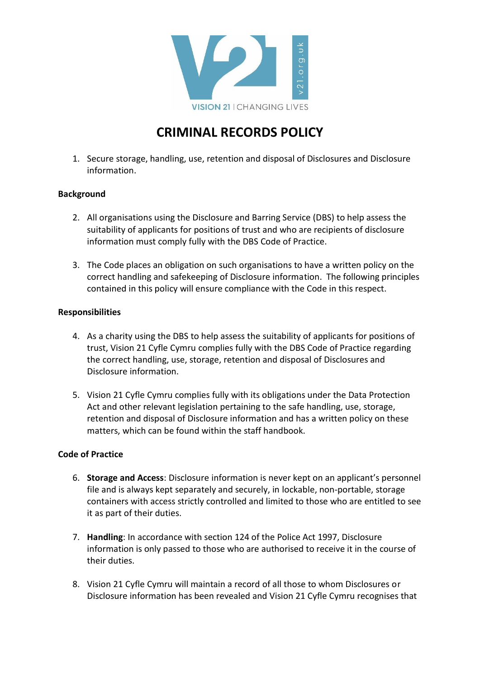

## **CRIMINAL RECORDS POLICY**

1. Secure storage, handling, use, retention and disposal of Disclosures and Disclosure information.

## **Background**

- 2. All organisations using the Disclosure and Barring Service (DBS) to help assess the suitability of applicants for positions of trust and who are recipients of disclosure information must comply fully with the DBS Code of Practice.
- 3. The Code places an obligation on such organisations to have a written policy on the correct handling and safekeeping of Disclosure information. The following principles contained in this policy will ensure compliance with the Code in this respect.

## **Responsibilities**

- 4. As a charity using the DBS to help assess the suitability of applicants for positions of trust, Vision 21 Cyfle Cymru complies fully with the DBS Code of Practice regarding the correct handling, use, storage, retention and disposal of Disclosures and Disclosure information.
- 5. Vision 21 Cyfle Cymru complies fully with its obligations under the Data Protection Act and other relevant legislation pertaining to the safe handling, use, storage, retention and disposal of Disclosure information and has a written policy on these matters, which can be found within the staff handbook.

## **Code of Practice**

- 6. **Storage and Access**: Disclosure information is never kept on an applicant's personnel file and is always kept separately and securely, in lockable, non-portable, storage containers with access strictly controlled and limited to those who are entitled to see it as part of their duties.
- 7. **Handling**: In accordance with section 124 of the Police Act 1997, Disclosure information is only passed to those who are authorised to receive it in the course of their duties.
- 8. Vision 21 Cyfle Cymru will maintain a record of all those to whom Disclosures or Disclosure information has been revealed and Vision 21 Cyfle Cymru recognises that